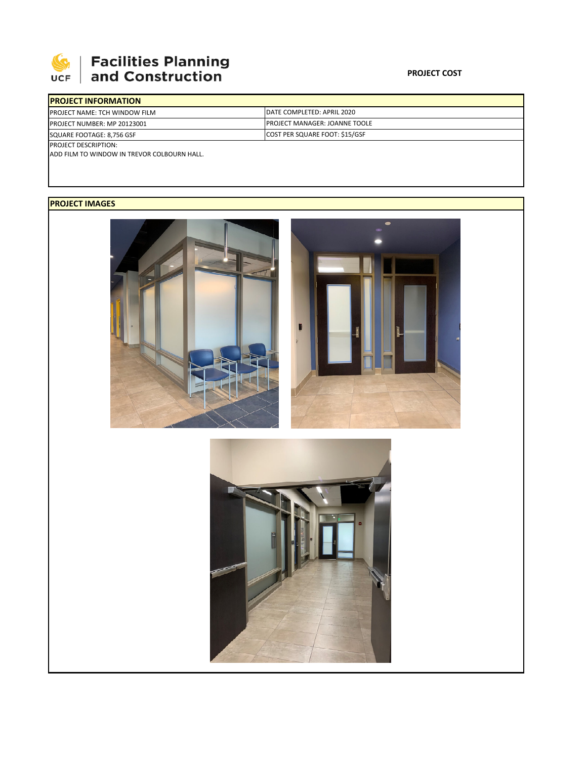

## **SEPTE AND Facilities Planning**<br>UCF and Construction

| <b>IPROJECT INFORMATION</b>          |                                       |  |  |  |
|--------------------------------------|---------------------------------------|--|--|--|
| <b>PROJECT NAME: TCH WINDOW FILM</b> | <b>IDATE COMPLETED: APRIL 2020</b>    |  |  |  |
| <b>PROJECT NUMBER: MP 20123001</b>   | <b>IPROJECT MANAGER: JOANNE TOOLE</b> |  |  |  |
| SQUARE FOOTAGE: 8,756 GSF            | <b>COST PER SQUARE FOOT: \$15/GSF</b> |  |  |  |
| <b>PROJECT DESCRIPTION:</b>          |                                       |  |  |  |

ADD FILM TO WINDOW IN TREVOR COLBOURN HALL.

## **PROJECT IMAGES**